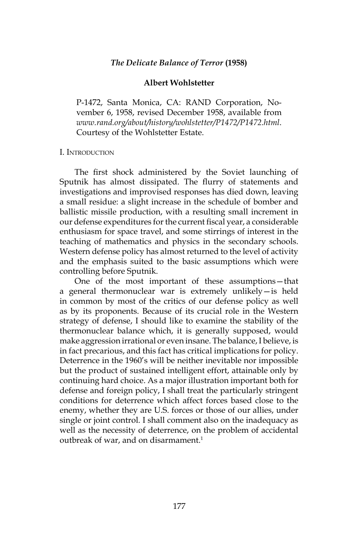### **Albert Wohlstetter**

P-1472, Santa Monica, CA: RAND Corporation, November 6, 1958, revised December 1958, available from *www.rand.org/about/history/wohlstetter/P1472/P1472.html*. Courtesy of the Wohlstetter Estate.

### I. Introduction

The first shock administered by the Soviet launching of Sputnik has almost dissipated. The flurry of statements and investigations and improvised responses has died down, leaving a small residue: a slight increase in the schedule of bomber and ballistic missile production, with a resulting small increment in our defense expenditures for the current fiscal year, a considerable enthusiasm for space travel, and some stirrings of interest in the teaching of mathematics and physics in the secondary schools. Western defense policy has almost returned to the level of activity and the emphasis suited to the basic assumptions which were controlling before Sputnik.

One of the most important of these assumptions—that a general thermonuclear war is extremely unlikely—is held in common by most of the critics of our defense policy as well as by its proponents. Because of its crucial role in the Western strategy of defense, I should like to examine the stability of the thermonuclear balance which, it is generally supposed, would make aggression irrational or even insane. The balance, I believe, is in fact precarious, and this fact has critical implications for policy. Deterrence in the 1960's will be neither inevitable nor impossible but the product of sustained intelligent effort, attainable only by continuing hard choice. As a major illustration important both for defense and foreign policy, I shall treat the particularly stringent conditions for deterrence which affect forces based close to the enemy, whether they are U.S. forces or those of our allies, under single or joint control. I shall comment also on the inadequacy as well as the necessity of deterrence, on the problem of accidental outbreak of war, and on disarmament.<sup>1</sup>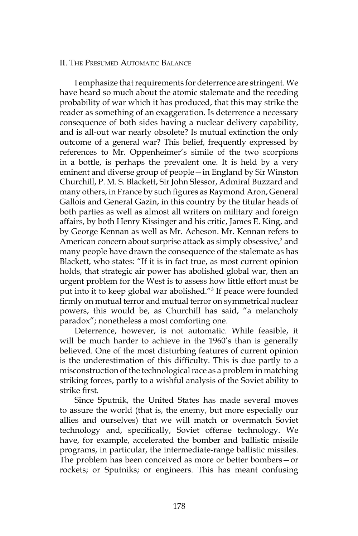### II. The Presumed Automatic Balance

I emphasize that requirements for deterrence are stringent. We have heard so much about the atomic stalemate and the receding probability of war which it has produced, that this may strike the reader as something of an exaggeration. Is deterrence a necessary consequence of both sides having a nuclear delivery capability, and is all-out war nearly obsolete? Is mutual extinction the only outcome of a general war? This belief, frequently expressed by references to Mr. Oppenheimer's simile of the two scorpions in a bottle, is perhaps the prevalent one. It is held by a very eminent and diverse group of people—in England by Sir Winston Churchill, P. M. S. Blackett, Sir John Slessor, Admiral Buzzard and many others, in France by such figures as Raymond Aron, General Gallois and General Gazin, in this country by the titular heads of both parties as well as almost all writers on military and foreign affairs, by both Henry Kissinger and his critic, James E. King, and by George Kennan as well as Mr. Acheson. Mr. Kennan refers to American concern about surprise attack as simply obsessive,<sup>2</sup> and many people have drawn the consequence of the stalemate as has Blackett, who states: "If it is in fact true, as most current opinion holds, that strategic air power has abolished global war, then an urgent problem for the West is to assess how little effort must be put into it to keep global war abolished."3 If peace were founded firmly on mutual terror and mutual terror on symmetrical nuclear powers, this would be, as Churchill has said, "a melancholy paradox"; nonetheless a most comforting one.

Deterrence, however, is not automatic. While feasible, it will be much harder to achieve in the 1960's than is generally believed. One of the most disturbing features of current opinion is the underestimation of this difficulty. This is due partly to a misconstruction of the technological race as a problem in matching striking forces, partly to a wishful analysis of the Soviet ability to strike first.

Since Sputnik, the United States has made several moves to assure the world (that is, the enemy, but more especially our allies and ourselves) that we will match or overmatch Soviet technology and, specifically, Soviet offense technology. We have, for example, accelerated the bomber and ballistic missile programs, in particular, the intermediate-range ballistic missiles. The problem has been conceived as more or better bombers—or rockets; or Sputniks; or engineers. This has meant confusing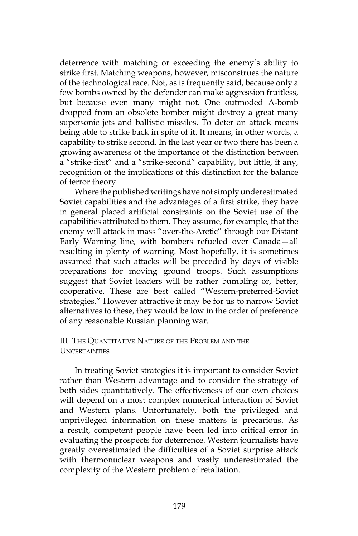deterrence with matching or exceeding the enemy's ability to strike first. Matching weapons, however, misconstrues the nature of the technological race. Not, as is frequently said, because only a few bombs owned by the defender can make aggression fruitless, but because even many might not. One outmoded A-bomb dropped from an obsolete bomber might destroy a great many supersonic jets and ballistic missiles. To deter an attack means being able to strike back in spite of it. It means, in other words, a capability to strike second. In the last year or two there has been a growing awareness of the importance of the distinction between a "strike-first" and a "strike-second" capability, but little, if any, recognition of the implications of this distinction for the balance of terror theory.

Where the published writings have not simply underestimated Soviet capabilities and the advantages of a first strike, they have in general placed artificial constraints on the Soviet use of the capabilities attributed to them. They assume, for example, that the enemy will attack in mass "over-the-Arctic" through our Distant Early Warning line, with bombers refueled over Canada—all resulting in plenty of warning. Most hopefully, it is sometimes assumed that such attacks will be preceded by days of visible preparations for moving ground troops. Such assumptions suggest that Soviet leaders will be rather bumbling or, better, cooperative. These are best called "Western-preferred-Soviet strategies." However attractive it may be for us to narrow Soviet alternatives to these, they would be low in the order of preference of any reasonable Russian planning war.

# III. The Quantitative Nature of the Problem and the **UNCERTAINTIES**

In treating Soviet strategies it is important to consider Soviet rather than Western advantage and to consider the strategy of both sides quantitatively. The effectiveness of our own choices will depend on a most complex numerical interaction of Soviet and Western plans. Unfortunately, both the privileged and unprivileged information on these matters is precarious. As a result, competent people have been led into critical error in evaluating the prospects for deterrence. Western journalists have greatly overestimated the difficulties of a Soviet surprise attack with thermonuclear weapons and vastly underestimated the complexity of the Western problem of retaliation.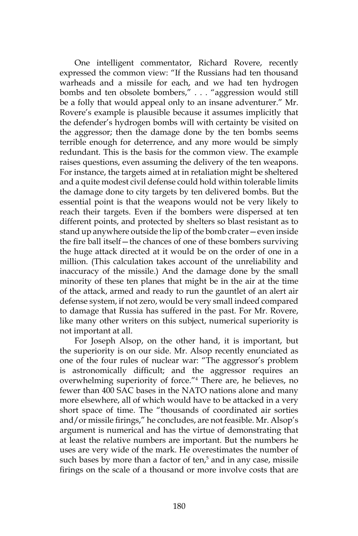One intelligent commentator, Richard Rovere, recently expressed the common view: "If the Russians had ten thousand warheads and a missile for each, and we had ten hydrogen bombs and ten obsolete bombers," . . . "aggression would still be a folly that would appeal only to an insane adventurer." Mr. Rovere's example is plausible because it assumes implicitly that the defender's hydrogen bombs will with certainty be visited on the aggressor; then the damage done by the ten bombs seems terrible enough for deterrence, and any more would be simply redundant. This is the basis for the common view. The example raises questions, even assuming the delivery of the ten weapons. For instance, the targets aimed at in retaliation might be sheltered and a quite modest civil defense could hold within tolerable limits the damage done to city targets by ten delivered bombs. But the essential point is that the weapons would not be very likely to reach their targets. Even if the bombers were dispersed at ten different points, and protected by shelters so blast resistant as to stand up anywhere outside the lip of the bomb crater—even inside the fire ball itself—the chances of one of these bombers surviving the huge attack directed at it would be on the order of one in a million. (This calculation takes account of the unreliability and inaccuracy of the missile.) And the damage done by the small minority of these ten planes that might be in the air at the time of the attack, armed and ready to run the gauntlet of an alert air defense system, if not zero, would be very small indeed compared to damage that Russia has suffered in the past. For Mr. Rovere, like many other writers on this subject, numerical superiority is not important at all.

For Joseph Alsop, on the other hand, it is important, but the superiority is on our side. Mr. Alsop recently enunciated as one of the four rules of nuclear war: "The aggressor's problem is astronomically difficult; and the aggressor requires an overwhelming superiority of force."4 There are, he believes, no fewer than 400 SAC bases in the NATO nations alone and many more elsewhere, all of which would have to be attacked in a very short space of time. The "thousands of coordinated air sorties and/or missile firings," he concludes, are not feasible. Mr. Alsop's argument is numerical and has the virtue of demonstrating that at least the relative numbers are important. But the numbers he uses are very wide of the mark. He overestimates the number of such bases by more than a factor of ten,<sup>5</sup> and in any case, missile firings on the scale of a thousand or more involve costs that are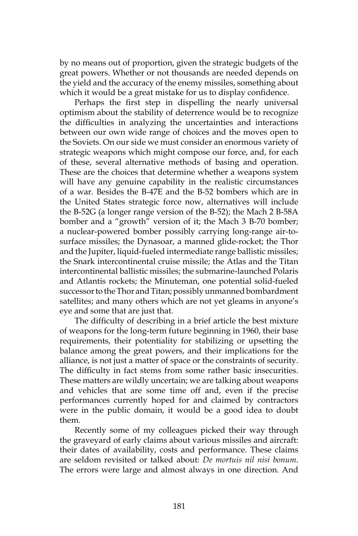by no means out of proportion, given the strategic budgets of the great powers. Whether or not thousands are needed depends on the yield and the accuracy of the enemy missiles, something about which it would be a great mistake for us to display confidence.

Perhaps the first step in dispelling the nearly universal optimism about the stability of deterrence would be to recognize the difficulties in analyzing the uncertainties and interactions between our own wide range of choices and the moves open to the Soviets. On our side we must consider an enormous variety of strategic weapons which might compose our force, and, for each of these, several alternative methods of basing and operation. These are the choices that determine whether a weapons system will have any genuine capability in the realistic circumstances of a war. Besides the B-47E and the B-52 bombers which are in the United States strategic force now, alternatives will include the B-52G (a longer range version of the B-52); the Mach 2 B-58A bomber and a "growth" version of it; the Mach 3 B-70 bomber; a nuclear-powered bomber possibly carrying long-range air-tosurface missiles; the Dynasoar, a manned glide-rocket; the Thor and the Jupiter, liquid-fueled intermediate range ballistic missiles; the Snark intercontinental cruise missile; the Atlas and the Titan intercontinental ballistic missiles; the submarine-launched Polaris and Atlantis rockets; the Minuteman, one potential solid-fueled successor to the Thor and Titan; possibly unmanned bombardment satellites; and many others which are not yet gleams in anyone's eye and some that are just that.

The difficulty of describing in a brief article the best mixture of weapons for the long-term future beginning in 1960, their base requirements, their potentiality for stabilizing or upsetting the balance among the great powers, and their implications for the alliance, is not just a matter of space or the constraints of security. The difficulty in fact stems from some rather basic insecurities. These matters are wildly uncertain; we are talking about weapons and vehicles that are some time off and, even if the precise performances currently hoped for and claimed by contractors were in the public domain, it would be a good idea to doubt them.

Recently some of my colleagues picked their way through the graveyard of early claims about various missiles and aircraft: their dates of availability, costs and performance. These claims are seldom revisited or talked about: *De mortuis nil nisi bonum*. The errors were large and almost always in one direction. And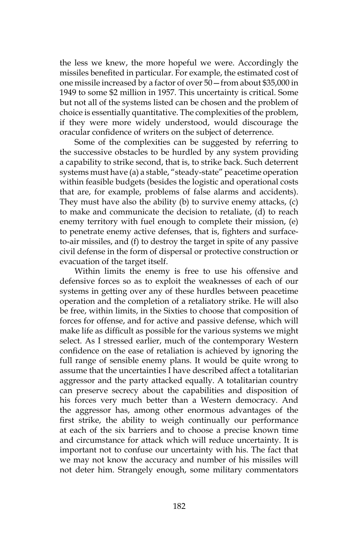the less we knew, the more hopeful we were. Accordingly the missiles benefited in particular. For example, the estimated cost of one missile increased by a factor of over 50—from about \$35,000 in 1949 to some \$2 million in 1957. This uncertainty is critical. Some but not all of the systems listed can be chosen and the problem of choice is essentially quantitative. The complexities of the problem, if they were more widely understood, would discourage the oracular confidence of writers on the subject of deterrence.

Some of the complexities can be suggested by referring to the successive obstacles to be hurdled by any system providing a capability to strike second, that is, to strike back. Such deterrent systems must have (a) a stable, "steady-state" peacetime operation within feasible budgets (besides the logistic and operational costs that are, for example, problems of false alarms and accidents). They must have also the ability (b) to survive enemy attacks, (c) to make and communicate the decision to retaliate, (d) to reach enemy territory with fuel enough to complete their mission, (e) to penetrate enemy active defenses, that is, fighters and surfaceto-air missiles, and (f) to destroy the target in spite of any passive civil defense in the form of dispersal or protective construction or evacuation of the target itself.

Within limits the enemy is free to use his offensive and defensive forces so as to exploit the weaknesses of each of our systems in getting over any of these hurdles between peacetime operation and the completion of a retaliatory strike. He will also be free, within limits, in the Sixties to choose that composition of forces for offense, and for active and passive defense, which will make life as difficult as possible for the various systems we might select. As I stressed earlier, much of the contemporary Western confidence on the ease of retaliation is achieved by ignoring the full range of sensible enemy plans. It would be quite wrong to assume that the uncertainties I have described affect a totalitarian aggressor and the party attacked equally. A totalitarian country can preserve secrecy about the capabilities and disposition of his forces very much better than a Western democracy. And the aggressor has, among other enormous advantages of the first strike, the ability to weigh continually our performance at each of the six barriers and to choose a precise known time and circumstance for attack which will reduce uncertainty. It is important not to confuse our uncertainty with his. The fact that we may not know the accuracy and number of his missiles will not deter him. Strangely enough, some military commentators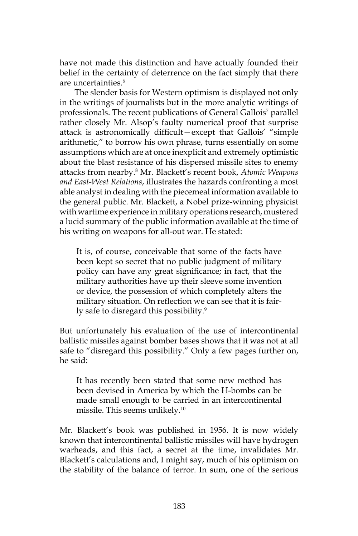have not made this distinction and have actually founded their belief in the certainty of deterrence on the fact simply that there are uncertainties.<sup>6</sup>

The slender basis for Western optimism is displayed not only in the writings of journalists but in the more analytic writings of professionals. The recent publications of General Gallois<sup>7</sup> parallel rather closely Mr. Alsop's faulty numerical proof that surprise attack is astronomically difficult—except that Gallois' "simple arithmetic," to borrow his own phrase, turns essentially on some assumptions which are at once inexplicit and extremely optimistic about the blast resistance of his dispersed missile sites to enemy attacks from nearby.8 Mr. Blackett's recent book, *Atomic Weapons and East-West Relations*, illustrates the hazards confronting a most able analyst in dealing with the piecemeal information available to the general public. Mr. Blackett, a Nobel prize-winning physicist with wartime experience in military operations research, mustered a lucid summary of the public information available at the time of his writing on weapons for all-out war. He stated:

It is, of course, conceivable that some of the facts have been kept so secret that no public judgment of military policy can have any great significance; in fact, that the military authorities have up their sleeve some invention or device, the possession of which completely alters the military situation. On reflection we can see that it is fairly safe to disregard this possibility.9

But unfortunately his evaluation of the use of intercontinental ballistic missiles against bomber bases shows that it was not at all safe to "disregard this possibility." Only a few pages further on, he said:

It has recently been stated that some new method has been devised in America by which the H-bombs can be made small enough to be carried in an intercontinental missile. This seems unlikely.10

Mr. Blackett's book was published in 1956. It is now widely known that intercontinental ballistic missiles will have hydrogen warheads, and this fact, a secret at the time, invalidates Mr. Blackett's calculations and, I might say, much of his optimism on the stability of the balance of terror. In sum, one of the serious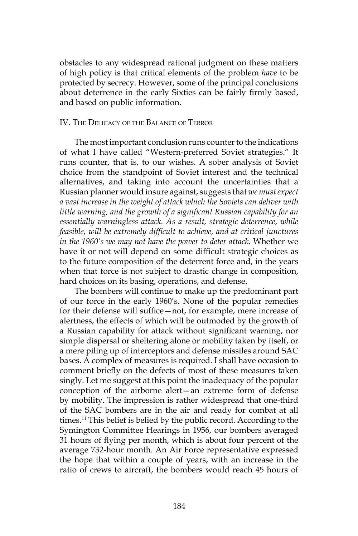obstacles to any widespread rational judgment on these matters of high policy is that critical elements of the problem *have* to be protected by secrecy. However, some of the principal conclusions about deterrence in the early Sixties can be fairly firmly based, and based on public information.

### IV. The Delicacy of the Balance of Terror

The most important conclusion runs counter to the indications of what I have called "Western-preferred Soviet strategies." It runs counter, that is, to our wishes. A sober analysis of Soviet choice from the standpoint of Soviet interest and the technical alternatives, and taking into account the uncertainties that a Russian planner would insure against, suggests that *we must expect a vast increase in the weight of attack which the Soviets can deliver with little warning, and the growth of a significant Russian capability for an essentially warningless attack. As a result, strategic deterrence, while feasible, will be extremely difficult to achieve, and at critical junctures in the 1960's we may not have the power to deter attack*. Whether we have it or not will depend on some difficult strategic choices as to the future composition of the deterrent force and, in the years when that force is not subject to drastic change in composition, hard choices on its basing, operations, and defense.

The bombers will continue to make up the predominant part of our force in the early 1960's. None of the popular remedies for their defense will suffice—not, for example, mere increase of alertness, the effects of which will be outmoded by the growth of a Russian capability for attack without significant warning, nor simple dispersal or sheltering alone or mobility taken by itself, or a mere piling up of interceptors and defense missiles around SAC bases. A complex of measures is required. I shall have occasion to comment briefly on the defects of most of these measures taken singly. Let me suggest at this point the inadequacy of the popular conception of the airborne alert—an extreme form of defense by mobility. The impression is rather widespread that one-third of the SAC bombers are in the air and ready for combat at all times.11 This belief is belied by the public record. According to the Symington Committee Hearings in 1956, our bombers averaged 31 hours of flying per month, which is about four percent of the average 732-hour month. An Air Force representative expressed the hope that within a couple of years, with an increase in the ratio of crews to aircraft, the bombers would reach 45 hours of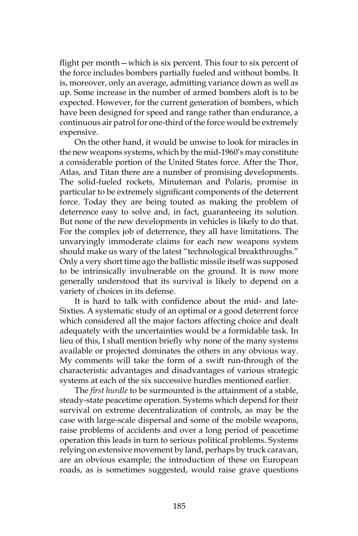flight per month—which is six percent. This four to six percent of the force includes bombers partially fueled and without bombs. It is, moreover, only an average, admitting variance down as well as up. Some increase in the number of armed bombers aloft is to be expected. However, for the current generation of bombers, which have been designed for speed and range rather than endurance, a continuous air patrol for one-third of the force would be extremely expensive.

On the other hand, it would be unwise to look for miracles in the new weapons systems, which by the mid-1960's may constitute a considerable portion of the United States force. After the Thor, Atlas, and Titan there are a number of promising developments. The solid-fueled rockets, Minuteman and Polaris, promise in particular to be extremely significant components of the deterrent force. Today they are being touted as making the problem of deterrence easy to solve and, in fact, guaranteeing its solution. But none of the new developments in vehicles is likely to do that. For the complex job of deterrence, they all have limitations. The unvaryingly immoderate claims for each new weapons system should make us wary of the latest "technological breakthroughs." Only a very short time ago the ballistic missile itself was supposed to be intrinsically invulnerable on the ground. It is now more generally understood that its survival is likely to depend on a variety of choices in its defense.

It is hard to talk with confidence about the mid- and late-Sixties. A systematic study of an optimal or a good deterrent force which considered all the major factors affecting choice and dealt adequately with the uncertainties would be a formidable task. In lieu of this, I shall mention briefly why none of the many systems available or projected dominates the others in any obvious way. My comments will take the form of a swift run-through of the characteristic advantages and disadvantages of various strategic systems at each of the six successive hurdles mentioned earlier.

The *first hurdle* to be surmounted is the attainment of a stable, steady-state peacetime operation. Systems which depend for their survival on extreme decentralization of controls, as may be the case with large-scale dispersal and some of the mobile weapons, raise problems of accidents and over a long period of peacetime operation this leads in turn to serious political problems. Systems relying on extensive movement by land, perhaps by truck caravan, are an obvious example; the introduction of these on European roads, as is sometimes suggested, would raise grave questions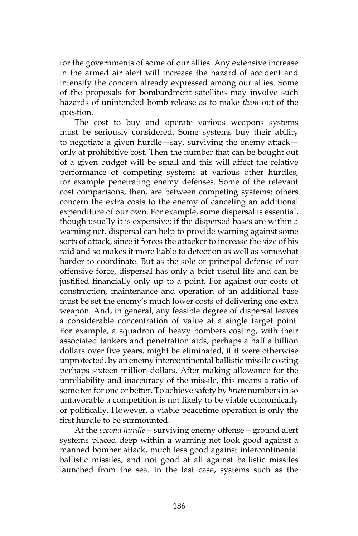for the governments of some of our allies. Any extensive increase in the armed air alert will increase the hazard of accident and intensify the concern already expressed among our allies. Some of the proposals for bombardment satellites may involve such hazards of unintended bomb release as to make *them* out of the question.

The cost to buy and operate various weapons systems must be seriously considered. Some systems buy their ability to negotiate a given hurdle—say, surviving the enemy attack only at prohibitive cost. Then the number that can be bought out of a given budget will be small and this will affect the relative performance of competing systems at various other hurdles, for example penetrating enemy defenses. Some of the relevant cost comparisons, then, are between competing systems; others concern the extra costs to the enemy of canceling an additional expenditure of our own. For example, some dispersal is essential, though usually it is expensive; if the dispersed bases are within a warning net, dispersal can help to provide warning against some sorts of attack, since it forces the attacker to increase the size of his raid and so makes it more liable to detection as well as somewhat harder to coordinate. But as the sole or principal defense of our offensive force, dispersal has only a brief useful life and can be justified financially only up to a point. For against our costs of construction, maintenance and operation of an additional base must be set the enemy's much lower costs of delivering one extra weapon. And, in general, any feasible degree of dispersal leaves a considerable concentration of value at a single target point. For example, a squadron of heavy bombers costing, with their associated tankers and penetration aids, perhaps a half a billion dollars over five years, might be eliminated, if it were otherwise unprotected, by an enemy intercontinental ballistic missile costing perhaps sixteen million dollars. After making allowance for the unreliability and inaccuracy of the missile, this means a ratio of some ten for one or better. To achieve safety by *brute* numbers in so unfavorable a competition is not likely to be viable economically or politically. However, a viable peacetime operation is only the first hurdle to be surmounted.

At the *second hurdle*—surviving enemy offense—ground alert systems placed deep within a warning net look good against a manned bomber attack, much less good against intercontinental ballistic missiles, and not good at all against ballistic missiles launched from the sea. In the last case, systems such as the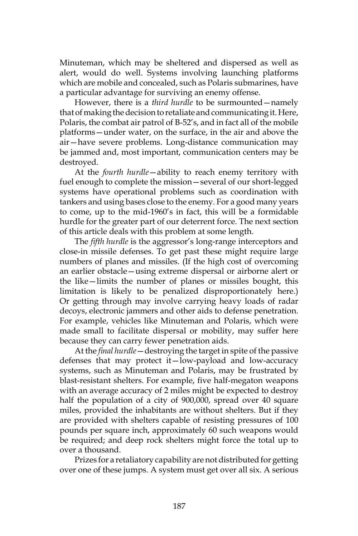Minuteman, which may be sheltered and dispersed as well as alert, would do well. Systems involving launching platforms which are mobile and concealed, such as Polaris submarines, have a particular advantage for surviving an enemy offense.

However, there is a *third hurdle* to be surmounted—namely that of making the decision to retaliate and communicating it. Here, Polaris, the combat air patrol of B-52's, and in fact all of the mobile platforms—under water, on the surface, in the air and above the air—have severe problems. Long-distance communication may be jammed and, most important, communication centers may be destroyed.

At the *fourth hurdle*—ability to reach enemy territory with fuel enough to complete the mission—several of our short-legged systems have operational problems such as coordination with tankers and using bases close to the enemy. For a good many years to come, up to the mid-1960's in fact, this will be a formidable hurdle for the greater part of our deterrent force. The next section of this article deals with this problem at some length.

The *fifth hurdle* is the aggressor's long-range interceptors and close-in missile defenses. To get past these might require large numbers of planes and missiles. (If the high cost of overcoming an earlier obstacle—using extreme dispersal or airborne alert or the like—limits the number of planes or missiles bought, this limitation is likely to be penalized disproportionately here.) Or getting through may involve carrying heavy loads of radar decoys, electronic jammers and other aids to defense penetration. For example, vehicles like Minuteman and Polaris, which were made small to facilitate dispersal or mobility, may suffer here because they can carry fewer penetration aids.

At the *final hurdle*—destroying the target in spite of the passive defenses that may protect it—low-payload and low-accuracy systems, such as Minuteman and Polaris, may be frustrated by blast-resistant shelters. For example, five half-megaton weapons with an average accuracy of 2 miles might be expected to destroy half the population of a city of 900,000, spread over 40 square miles, provided the inhabitants are without shelters. But if they are provided with shelters capable of resisting pressures of 100 pounds per square inch, approximately 60 such weapons would be required; and deep rock shelters might force the total up to over a thousand.

Prizes for a retaliatory capability are not distributed for getting over one of these jumps. A system must get over all six. A serious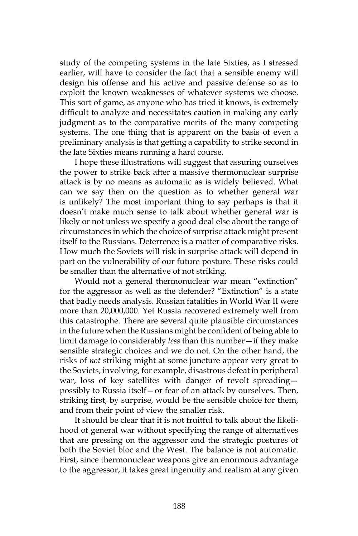study of the competing systems in the late Sixties, as I stressed earlier, will have to consider the fact that a sensible enemy will design his offense and his active and passive defense so as to exploit the known weaknesses of whatever systems we choose. This sort of game, as anyone who has tried it knows, is extremely difficult to analyze and necessitates caution in making any early judgment as to the comparative merits of the many competing systems. The one thing that is apparent on the basis of even a preliminary analysis is that getting a capability to strike second in the late Sixties means running a hard course.

I hope these illustrations will suggest that assuring ourselves the power to strike back after a massive thermonuclear surprise attack is by no means as automatic as is widely believed. What can we say then on the question as to whether general war is unlikely? The most important thing to say perhaps is that it doesn't make much sense to talk about whether general war is likely or not unless we specify a good deal else about the range of circumstances in which the choice of surprise attack might present itself to the Russians. Deterrence is a matter of comparative risks. How much the Soviets will risk in surprise attack will depend in part on the vulnerability of our future posture. These risks could be smaller than the alternative of not striking.

Would not a general thermonuclear war mean "extinction" for the aggressor as well as the defender? "Extinction" is a state that badly needs analysis. Russian fatalities in World War II were more than 20,000,000. Yet Russia recovered extremely well from this catastrophe. There are several quite plausible circumstances in the future when the Russians might be confident of being able to limit damage to considerably *less* than this number—if they make sensible strategic choices and we do not. On the other hand, the risks of *not* striking might at some juncture appear very great to the Soviets, involving, for example, disastrous defeat in peripheral war, loss of key satellites with danger of revolt spreading possibly to Russia itself—or fear of an attack by ourselves. Then, striking first, by surprise, would be the sensible choice for them, and from their point of view the smaller risk.

It should be clear that it is not fruitful to talk about the likelihood of general war without specifying the range of alternatives that are pressing on the aggressor and the strategic postures of both the Soviet bloc and the West. The balance is not automatic. First, since thermonuclear weapons give an enormous advantage to the aggressor, it takes great ingenuity and realism at any given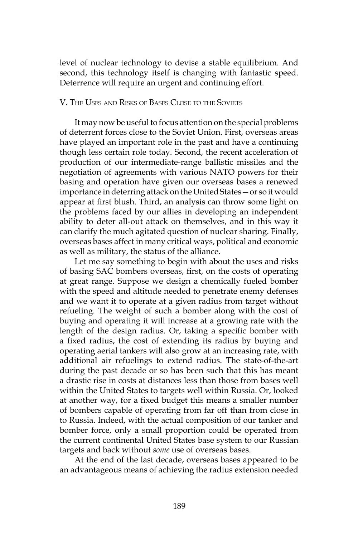level of nuclear technology to devise a stable equilibrium. And second, this technology itself is changing with fantastic speed. Deterrence will require an urgent and continuing effort.

#### V. The Uses and Risks of Bases Close to the Soviets

It may now be useful to focus attention on the special problems of deterrent forces close to the Soviet Union. First, overseas areas have played an important role in the past and have a continuing though less certain role today. Second, the recent acceleration of production of our intermediate-range ballistic missiles and the negotiation of agreements with various NATO powers for their basing and operation have given our overseas bases a renewed importance in deterring attack on the United States—or so it would appear at first blush. Third, an analysis can throw some light on the problems faced by our allies in developing an independent ability to deter all-out attack on themselves, and in this way it can clarify the much agitated question of nuclear sharing. Finally, overseas bases affect in many critical ways, political and economic as well as military, the status of the alliance.

Let me say something to begin with about the uses and risks of basing SAC bombers overseas, first, on the costs of operating at great range. Suppose we design a chemically fueled bomber with the speed and altitude needed to penetrate enemy defenses and we want it to operate at a given radius from target without refueling. The weight of such a bomber along with the cost of buying and operating it will increase at a growing rate with the length of the design radius. Or, taking a specific bomber with a fixed radius, the cost of extending its radius by buying and operating aerial tankers will also grow at an increasing rate, with additional air refuelings to extend radius. The state-of-the-art during the past decade or so has been such that this has meant a drastic rise in costs at distances less than those from bases well within the United States to targets well within Russia. Or, looked at another way, for a fixed budget this means a smaller number of bombers capable of operating from far off than from close in to Russia. Indeed, with the actual composition of our tanker and bomber force, only a small proportion could be operated from the current continental United States base system to our Russian targets and back without *some* use of overseas bases.

At the end of the last decade, overseas bases appeared to be an advantageous means of achieving the radius extension needed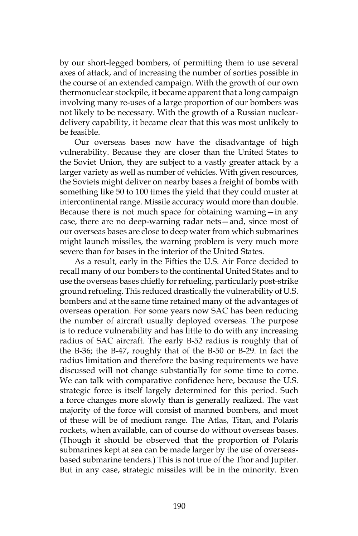by our short-legged bombers, of permitting them to use several axes of attack, and of increasing the number of sorties possible in the course of an extended campaign. With the growth of our own thermonuclear stockpile, it became apparent that a long campaign involving many re-uses of a large proportion of our bombers was not likely to be necessary. With the growth of a Russian nucleardelivery capability, it became clear that this was most unlikely to be feasible.

Our overseas bases now have the disadvantage of high vulnerability. Because they are closer than the United States to the Soviet Union, they are subject to a vastly greater attack by a larger variety as well as number of vehicles. With given resources, the Soviets might deliver on nearby bases a freight of bombs with something like 50 to 100 times the yield that they could muster at intercontinental range. Missile accuracy would more than double. Because there is not much space for obtaining warning—in any case, there are no deep-warning radar nets—and, since most of our overseas bases are close to deep water from which submarines might launch missiles, the warning problem is very much more severe than for bases in the interior of the United States.

As a result, early in the Fifties the U.S. Air Force decided to recall many of our bombers to the continental United States and to use the overseas bases chiefly for refueling, particularly post-strike ground refueling. This reduced drastically the vulnerability of U.S. bombers and at the same time retained many of the advantages of overseas operation. For some years now SAC has been reducing the number of aircraft usually deployed overseas. The purpose is to reduce vulnerability and has little to do with any increasing radius of SAC aircraft. The early B-52 radius is roughly that of the B-36; the B-47, roughly that of the B-50 or B-29. In fact the radius limitation and therefore the basing requirements we have discussed will not change substantially for some time to come. We can talk with comparative confidence here, because the U.S. strategic force is itself largely determined for this period. Such a force changes more slowly than is generally realized. The vast majority of the force will consist of manned bombers, and most of these will be of medium range. The Atlas, Titan, and Polaris rockets, when available, can of course do without overseas bases. (Though it should be observed that the proportion of Polaris submarines kept at sea can be made larger by the use of overseasbased submarine tenders.) This is not true of the Thor and Jupiter. But in any case, strategic missiles will be in the minority. Even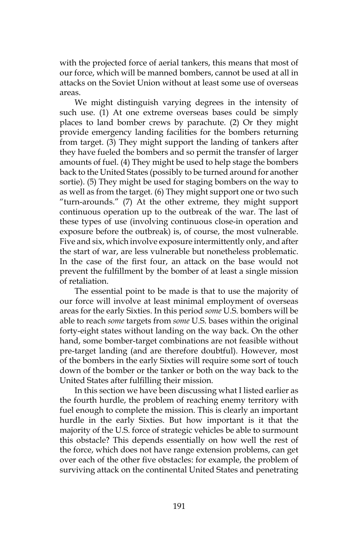with the projected force of aerial tankers, this means that most of our force, which will be manned bombers, cannot be used at all in attacks on the Soviet Union without at least some use of overseas areas.

We might distinguish varying degrees in the intensity of such use. (1) At one extreme overseas bases could be simply places to land bomber crews by parachute. (2) Or they might provide emergency landing facilities for the bombers returning from target. (3) They might support the landing of tankers after they have fueled the bombers and so permit the transfer of larger amounts of fuel. (4) They might be used to help stage the bombers back to the United States (possibly to be turned around for another sortie). (5) They might be used for staging bombers on the way to as well as from the target. (6) They might support one or two such "turn-arounds." (7) At the other extreme, they might support continuous operation up to the outbreak of the war. The last of these types of use (involving continuous close-in operation and exposure before the outbreak) is, of course, the most vulnerable. Five and six, which involve exposure intermittently only, and after the start of war, are less vulnerable but nonetheless problematic. In the case of the first four, an attack on the base would not prevent the fulfillment by the bomber of at least a single mission of retaliation.

The essential point to be made is that to use the majority of our force will involve at least minimal employment of overseas areas for the early Sixties. In this period *some* U.S. bombers will be able to reach *some* targets from *some* U.S. bases within the original forty-eight states without landing on the way back. On the other hand, some bomber-target combinations are not feasible without pre-target landing (and are therefore doubtful). However, most of the bombers in the early Sixties will require some sort of touch down of the bomber or the tanker or both on the way back to the United States after fulfilling their mission.

In this section we have been discussing what I listed earlier as the fourth hurdle, the problem of reaching enemy territory with fuel enough to complete the mission. This is clearly an important hurdle in the early Sixties. But how important is it that the majority of the U.S. force of strategic vehicles be able to surmount this obstacle? This depends essentially on how well the rest of the force, which does not have range extension problems, can get over each of the other five obstacles: for example, the problem of surviving attack on the continental United States and penetrating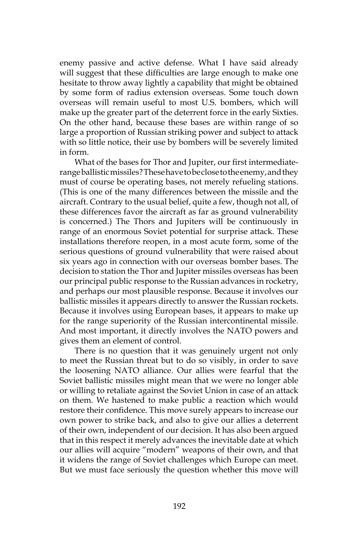enemy passive and active defense. What I have said already will suggest that these difficulties are large enough to make one hesitate to throw away lightly a capability that might be obtained by some form of radius extension overseas. Some touch down overseas will remain useful to most U.S. bombers, which will make up the greater part of the deterrent force in the early Sixties. On the other hand, because these bases are within range of so large a proportion of Russian striking power and subject to attack with so little notice, their use by bombers will be severely limited in form.

What of the bases for Thor and Jupiter, our first intermediaterange ballistic missiles? These have to be close to the enemy, and they must of course be operating bases, not merely refueling stations. (This is one of the many differences between the missile and the aircraft. Contrary to the usual belief, quite a few, though not all, of these differences favor the aircraft as far as ground vulnerability is concerned.) The Thors and Jupiters will be continuously in range of an enormous Soviet potential for surprise attack. These installations therefore reopen, in a most acute form, some of the serious questions of ground vulnerability that were raised about six years ago in connection with our overseas bomber bases. The decision to station the Thor and Jupiter missiles overseas has been our principal public response to the Russian advances in rocketry, and perhaps our most plausible response. Because it involves our ballistic missiles it appears directly to answer the Russian rockets. Because it involves using European bases, it appears to make up for the range superiority of the Russian intercontinental missile. And most important, it directly involves the NATO powers and gives them an element of control.

There is no question that it was genuinely urgent not only to meet the Russian threat but to do so visibly, in order to save the loosening NATO alliance. Our allies were fearful that the Soviet ballistic missiles might mean that we were no longer able or willing to retaliate against the Soviet Union in case of an attack on them. We hastened to make public a reaction which would restore their confidence. This move surely appears to increase our own power to strike back, and also to give our allies a deterrent of their own, independent of our decision. It has also been argued that in this respect it merely advances the inevitable date at which our allies will acquire "modern" weapons of their own, and that it widens the range of Soviet challenges which Europe can meet. But we must face seriously the question whether this move will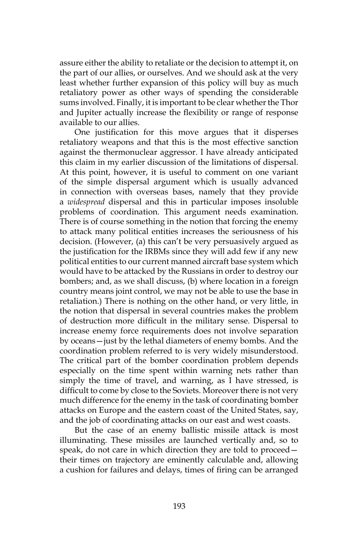assure either the ability to retaliate or the decision to attempt it, on the part of our allies, or ourselves. And we should ask at the very least whether further expansion of this policy will buy as much retaliatory power as other ways of spending the considerable sums involved. Finally, it is important to be clear whether the Thor and Jupiter actually increase the flexibility or range of response available to our allies.

One justification for this move argues that it disperses retaliatory weapons and that this is the most effective sanction against the thermonuclear aggressor. I have already anticipated this claim in my earlier discussion of the limitations of dispersal. At this point, however, it is useful to comment on one variant of the simple dispersal argument which is usually advanced in connection with overseas bases, namely that they provide a *widespread* dispersal and this in particular imposes insoluble problems of coordination. This argument needs examination. There is of course something in the notion that forcing the enemy to attack many political entities increases the seriousness of his decision. (However, (a) this can't be very persuasively argued as the justification for the IRBMs since they will add few if any new political entities to our current manned aircraft base system which would have to be attacked by the Russians in order to destroy our bombers; and, as we shall discuss, (b) where location in a foreign country means joint control, we may not be able to use the base in retaliation.) There is nothing on the other hand, or very little, in the notion that dispersal in several countries makes the problem of destruction more difficult in the military sense. Dispersal to increase enemy force requirements does not involve separation by oceans—just by the lethal diameters of enemy bombs. And the coordination problem referred to is very widely misunderstood. The critical part of the bomber coordination problem depends especially on the time spent within warning nets rather than simply the time of travel, and warning, as I have stressed, is difficult to come by close to the Soviets. Moreover there is not very much difference for the enemy in the task of coordinating bomber attacks on Europe and the eastern coast of the United States, say, and the job of coordinating attacks on our east and west coasts.

But the case of an enemy ballistic missile attack is most illuminating. These missiles are launched vertically and, so to speak, do not care in which direction they are told to proceed their times on trajectory are eminently calculable and, allowing a cushion for failures and delays, times of firing can be arranged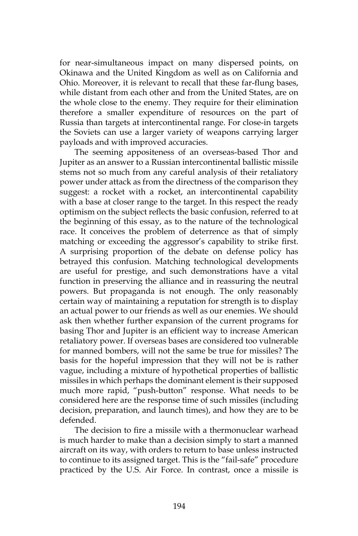for near-simultaneous impact on many dispersed points, on Okinawa and the United Kingdom as well as on California and Ohio. Moreover, it is relevant to recall that these far-flung bases, while distant from each other and from the United States, are on the whole close to the enemy. They require for their elimination therefore a smaller expenditure of resources on the part of Russia than targets at intercontinental range. For close-in targets the Soviets can use a larger variety of weapons carrying larger payloads and with improved accuracies.

The seeming appositeness of an overseas-based Thor and Jupiter as an answer to a Russian intercontinental ballistic missile stems not so much from any careful analysis of their retaliatory power under attack as from the directness of the comparison they suggest: a rocket with a rocket, an intercontinental capability with a base at closer range to the target. In this respect the ready optimism on the subject reflects the basic confusion, referred to at the beginning of this essay, as to the nature of the technological race. It conceives the problem of deterrence as that of simply matching or exceeding the aggressor's capability to strike first. A surprising proportion of the debate on defense policy has betrayed this confusion. Matching technological developments are useful for prestige, and such demonstrations have a vital function in preserving the alliance and in reassuring the neutral powers. But propaganda is not enough. The only reasonably certain way of maintaining a reputation for strength is to display an actual power to our friends as well as our enemies. We should ask then whether further expansion of the current programs for basing Thor and Jupiter is an efficient way to increase American retaliatory power. If overseas bases are considered too vulnerable for manned bombers, will not the same be true for missiles? The basis for the hopeful impression that they will not be is rather vague, including a mixture of hypothetical properties of ballistic missiles in which perhaps the dominant element is their supposed much more rapid, "push-button" response. What needs to be considered here are the response time of such missiles (including decision, preparation, and launch times), and how they are to be defended.

The decision to fire a missile with a thermonuclear warhead is much harder to make than a decision simply to start a manned aircraft on its way, with orders to return to base unless instructed to continue to its assigned target. This is the "fail-safe" procedure practiced by the U.S. Air Force. In contrast, once a missile is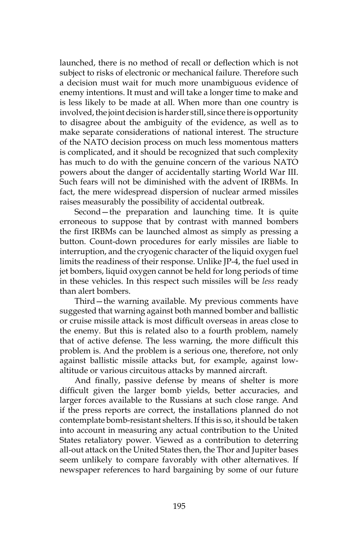launched, there is no method of recall or deflection which is not subject to risks of electronic or mechanical failure. Therefore such a decision must wait for much more unambiguous evidence of enemy intentions. It must and will take a longer time to make and is less likely to be made at all. When more than one country is involved, the joint decision is harder still, since there is opportunity to disagree about the ambiguity of the evidence, as well as to make separate considerations of national interest. The structure of the NATO decision process on much less momentous matters is complicated, and it should be recognized that such complexity has much to do with the genuine concern of the various NATO powers about the danger of accidentally starting World War III. Such fears will not be diminished with the advent of IRBMs. In fact, the mere widespread dispersion of nuclear armed missiles raises measurably the possibility of accidental outbreak.

Second—the preparation and launching time. It is quite erroneous to suppose that by contrast with manned bombers the first IRBMs can be launched almost as simply as pressing a button. Count-down procedures for early missiles are liable to interruption, and the cryogenic character of the liquid oxygen fuel limits the readiness of their response. Unlike JP-4, the fuel used in jet bombers, liquid oxygen cannot be held for long periods of time in these vehicles. In this respect such missiles will be *less* ready than alert bombers.

Third—the warning available. My previous comments have suggested that warning against both manned bomber and ballistic or cruise missile attack is most difficult overseas in areas close to the enemy. But this is related also to a fourth problem, namely that of active defense. The less warning, the more difficult this problem is. And the problem is a serious one, therefore, not only against ballistic missile attacks but, for example, against lowaltitude or various circuitous attacks by manned aircraft.

And finally, passive defense by means of shelter is more difficult given the larger bomb yields, better accuracies, and larger forces available to the Russians at such close range. And if the press reports are correct, the installations planned do not contemplate bomb-resistant shelters. If this is so, it should be taken into account in measuring any actual contribution to the United States retaliatory power. Viewed as a contribution to deterring all-out attack on the United States then, the Thor and Jupiter bases seem unlikely to compare favorably with other alternatives. If newspaper references to hard bargaining by some of our future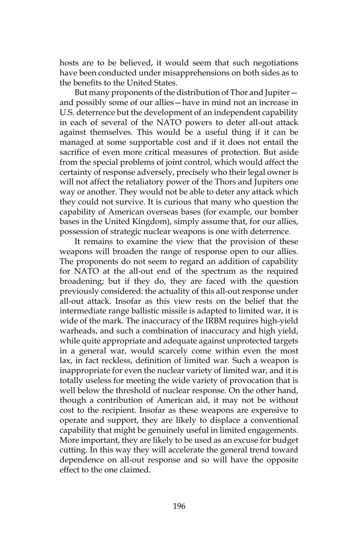hosts are to be believed, it would seem that such negotiations have been conducted under misapprehensions on both sides as to the benefits to the United States.

But many proponents of the distribution of Thor and Jupiter and possibly some of our allies—have in mind not an increase in U.S. deterrence but the development of an independent capability in each of several of the NATO powers to deter all-out attack against themselves. This would be a useful thing if it can be managed at some supportable cost and if it does not entail the sacrifice of even more critical measures of protection. But aside from the special problems of joint control, which would affect the certainty of response adversely, precisely who their legal owner is will not affect the retaliatory power of the Thors and Jupiters one way or another. They would not be able to deter any attack which they could not survive. It is curious that many who question the capability of American overseas bases (for example, our bomber bases in the United Kingdom), simply assume that, for our allies, possession of strategic nuclear weapons is one with deterrence.

It remains to examine the view that the provision of these weapons will broaden the range of response open to our allies. The proponents do not seem to regard an addition of capability for NATO at the all-out end of the spectrum as the required broadening; but if they do, they are faced with the question previously considered: the actuality of this all-out response under all-out attack. Insofar as this view rests on the belief that the intermediate range ballistic missile is adapted to limited war, it is wide of the mark. The inaccuracy of the IRBM requires high-yield warheads, and such a combination of inaccuracy and high yield, while quite appropriate and adequate against unprotected targets in a general war, would scarcely come within even the most lax, in fact reckless, definition of limited war. Such a weapon is inappropriate for even the nuclear variety of limited war, and it is totally useless for meeting the wide variety of provocation that is well below the threshold of nuclear response. On the other hand, though a contribution of American aid, it may not be without cost to the recipient. Insofar as these weapons are expensive to operate and support, they are likely to displace a conventional capability that might be genuinely useful in limited engagements. More important, they are likely to be used as an excuse for budget cutting. In this way they will accelerate the general trend toward dependence on all-out response and so will have the opposite effect to the one claimed.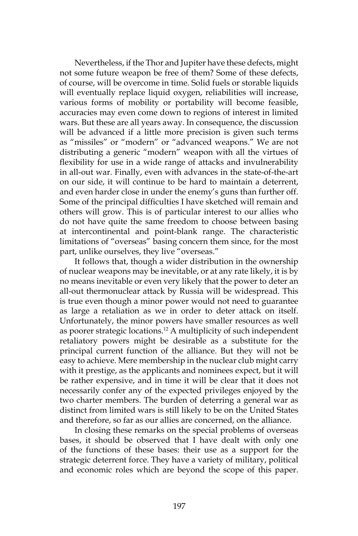Nevertheless, if the Thor and Jupiter have these defects, might not some future weapon be free of them? Some of these defects, of course, will be overcome in time. Solid fuels or storable liquids will eventually replace liquid oxygen, reliabilities will increase, various forms of mobility or portability will become feasible, accuracies may even come down to regions of interest in limited wars. But these are all years away. In consequence, the discussion will be advanced if a little more precision is given such terms as "missiles" or "modern" or "advanced weapons." We are not distributing a generic "modern" weapon with all the virtues of flexibility for use in a wide range of attacks and invulnerability in all-out war. Finally, even with advances in the state-of-the-art on our side, it will continue to be hard to maintain a deterrent, and even harder close in under the enemy's guns than further off. Some of the principal difficulties I have sketched will remain and others will grow. This is of particular interest to our allies who do not have quite the same freedom to choose between basing at intercontinental and point-blank range. The characteristic limitations of "overseas" basing concern them since, for the most part, unlike ourselves, they live "overseas."

It follows that, though a wider distribution in the ownership of nuclear weapons may be inevitable, or at any rate likely, it is by no means inevitable or even very likely that the power to deter an all-out thermonuclear attack by Russia will be widespread. This is true even though a minor power would not need to guarantee as large a retaliation as we in order to deter attack on itself. Unfortunately, the minor powers have smaller resources as well as poorer strategic locations.12 A multiplicity of such independent retaliatory powers might be desirable as a substitute for the principal current function of the alliance. But they will not be easy to achieve. Mere membership in the nuclear club might carry with it prestige, as the applicants and nominees expect, but it will be rather expensive, and in time it will be clear that it does not necessarily confer any of the expected privileges enjoyed by the two charter members. The burden of deterring a general war as distinct from limited wars is still likely to be on the United States and therefore, so far as our allies are concerned, on the alliance.

In closing these remarks on the special problems of overseas bases, it should be observed that I have dealt with only one of the functions of these bases: their use as a support for the strategic deterrent force. They have a variety of military, political and economic roles which are beyond the scope of this paper.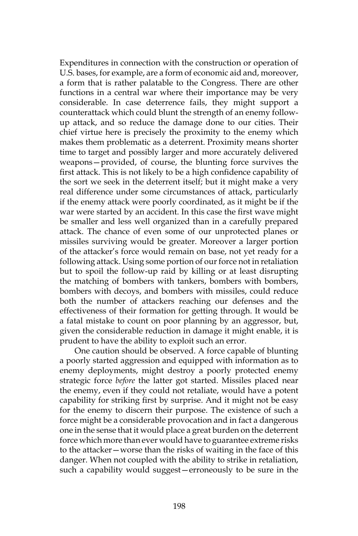Expenditures in connection with the construction or operation of U.S. bases, for example, are a form of economic aid and, moreover, a form that is rather palatable to the Congress. There are other functions in a central war where their importance may be very considerable. In case deterrence fails, they might support a counterattack which could blunt the strength of an enemy followup attack, and so reduce the damage done to our cities. Their chief virtue here is precisely the proximity to the enemy which makes them problematic as a deterrent. Proximity means shorter time to target and possibly larger and more accurately delivered weapons—provided, of course, the blunting force survives the first attack. This is not likely to be a high confidence capability of the sort we seek in the deterrent itself; but it might make a very real difference under some circumstances of attack, particularly if the enemy attack were poorly coordinated, as it might be if the war were started by an accident. In this case the first wave might be smaller and less well organized than in a carefully prepared attack. The chance of even some of our unprotected planes or missiles surviving would be greater. Moreover a larger portion of the attacker's force would remain on base, not yet ready for a following attack. Using some portion of our force not in retaliation but to spoil the follow-up raid by killing or at least disrupting the matching of bombers with tankers, bombers with bombers, bombers with decoys, and bombers with missiles, could reduce both the number of attackers reaching our defenses and the effectiveness of their formation for getting through. It would be a fatal mistake to count on poor planning by an aggressor, but, given the considerable reduction in damage it might enable, it is prudent to have the ability to exploit such an error.

One caution should be observed. A force capable of blunting a poorly started aggression and equipped with information as to enemy deployments, might destroy a poorly protected enemy strategic force *before* the latter got started. Missiles placed near the enemy, even if they could not retaliate, would have a potent capability for striking first by surprise. And it might not be easy for the enemy to discern their purpose. The existence of such a force might be a considerable provocation and in fact a dangerous one in the sense that it would place a great burden on the deterrent force which more than ever would have to guarantee extreme risks to the attacker—worse than the risks of waiting in the face of this danger. When not coupled with the ability to strike in retaliation, such a capability would suggest—erroneously to be sure in the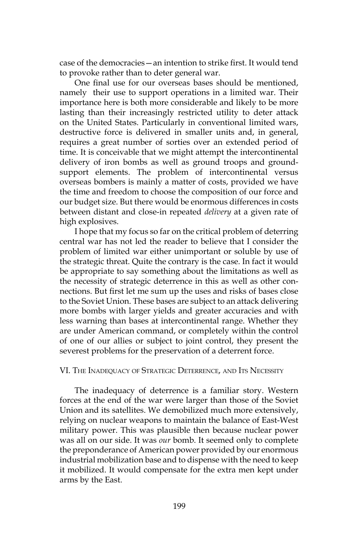case of the democracies—an intention to strike first. It would tend to provoke rather than to deter general war.

One final use for our overseas bases should be mentioned, namely their use to support operations in a limited war. Their importance here is both more considerable and likely to be more lasting than their increasingly restricted utility to deter attack on the United States. Particularly in conventional limited wars, destructive force is delivered in smaller units and, in general, requires a great number of sorties over an extended period of time. It is conceivable that we might attempt the intercontinental delivery of iron bombs as well as ground troops and groundsupport elements. The problem of intercontinental versus overseas bombers is mainly a matter of costs, provided we have the time and freedom to choose the composition of our force and our budget size. But there would be enormous differences in costs between distant and close-in repeated *delivery* at a given rate of high explosives.

I hope that my focus so far on the critical problem of deterring central war has not led the reader to believe that I consider the problem of limited war either unimportant or soluble by use of the strategic threat. Quite the contrary is the case. In fact it would be appropriate to say something about the limitations as well as the necessity of strategic deterrence in this as well as other connections. But first let me sum up the uses and risks of bases close to the Soviet Union. These bases are subject to an attack delivering more bombs with larger yields and greater accuracies and with less warning than bases at intercontinental range. Whether they are under American command, or completely within the control of one of our allies or subject to joint control, they present the severest problems for the preservation of a deterrent force.

# VI. The Inadequacy of Strategic Deterrence, and Its Necessity

The inadequacy of deterrence is a familiar story. Western forces at the end of the war were larger than those of the Soviet Union and its satellites. We demobilized much more extensively, relying on nuclear weapons to maintain the balance of East-West military power. This was plausible then because nuclear power was all on our side. It was *our* bomb. It seemed only to complete the preponderance of American power provided by our enormous industrial mobilization base and to dispense with the need to keep it mobilized. It would compensate for the extra men kept under arms by the East.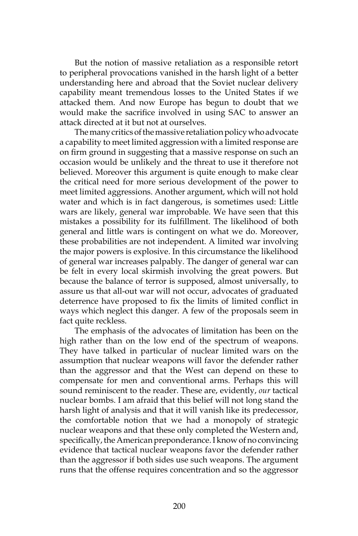But the notion of massive retaliation as a responsible retort to peripheral provocations vanished in the harsh light of a better understanding here and abroad that the Soviet nuclear delivery capability meant tremendous losses to the United States if we attacked them. And now Europe has begun to doubt that we would make the sacrifice involved in using SAC to answer an attack directed at it but not at ourselves.

The many critics of the massive retaliation policy who advocate a capability to meet limited aggression with a limited response are on firm ground in suggesting that a massive response on such an occasion would be unlikely and the threat to use it therefore not believed. Moreover this argument is quite enough to make clear the critical need for more serious development of the power to meet limited aggressions. Another argument, which will not hold water and which is in fact dangerous, is sometimes used: Little wars are likely, general war improbable. We have seen that this mistakes a possibility for its fulfillment. The likelihood of both general and little wars is contingent on what we do. Moreover, these probabilities are not independent. A limited war involving the major powers is explosive. In this circumstance the likelihood of general war increases palpably. The danger of general war can be felt in every local skirmish involving the great powers. But because the balance of terror is supposed, almost universally, to assure us that all-out war will not occur, advocates of graduated deterrence have proposed to fix the limits of limited conflict in ways which neglect this danger. A few of the proposals seem in fact quite reckless.

The emphasis of the advocates of limitation has been on the high rather than on the low end of the spectrum of weapons. They have talked in particular of nuclear limited wars on the assumption that nuclear weapons will favor the defender rather than the aggressor and that the West can depend on these to compensate for men and conventional arms. Perhaps this will sound reminiscent to the reader. These are, evidently, *our* tactical nuclear bombs. I am afraid that this belief will not long stand the harsh light of analysis and that it will vanish like its predecessor, the comfortable notion that we had a monopoly of strategic nuclear weapons and that these only completed the Western and, specifically, the American preponderance. I know of no convincing evidence that tactical nuclear weapons favor the defender rather than the aggressor if both sides use such weapons. The argument runs that the offense requires concentration and so the aggressor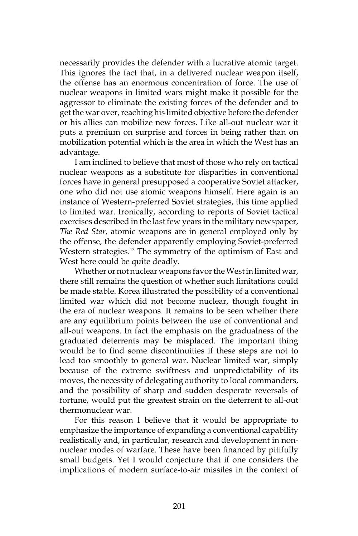necessarily provides the defender with a lucrative atomic target. This ignores the fact that, in a delivered nuclear weapon itself, the offense has an enormous concentration of force. The use of nuclear weapons in limited wars might make it possible for the aggressor to eliminate the existing forces of the defender and to get the war over, reaching his limited objective before the defender or his allies can mobilize new forces. Like all-out nuclear war it puts a premium on surprise and forces in being rather than on mobilization potential which is the area in which the West has an advantage.

I am inclined to believe that most of those who rely on tactical nuclear weapons as a substitute for disparities in conventional forces have in general presupposed a cooperative Soviet attacker, one who did not use atomic weapons himself. Here again is an instance of Western-preferred Soviet strategies, this time applied to limited war. Ironically, according to reports of Soviet tactical exercises described in the last few years in the military newspaper, *The Red Star*, atomic weapons are in general employed only by the offense, the defender apparently employing Soviet-preferred Western strategies.13 The symmetry of the optimism of East and West here could be quite deadly.

Whether or not nuclear weapons favor the West in limited war, there still remains the question of whether such limitations could be made stable. Korea illustrated the possibility of a conventional limited war which did not become nuclear, though fought in the era of nuclear weapons. It remains to be seen whether there are any equilibrium points between the use of conventional and all-out weapons. In fact the emphasis on the gradualness of the graduated deterrents may be misplaced. The important thing would be to find some discontinuities if these steps are not to lead too smoothly to general war. Nuclear limited war, simply because of the extreme swiftness and unpredictability of its moves, the necessity of delegating authority to local commanders, and the possibility of sharp and sudden desperate reversals of fortune, would put the greatest strain on the deterrent to all-out thermonuclear war.

For this reason I believe that it would be appropriate to emphasize the importance of expanding a conventional capability realistically and, in particular, research and development in nonnuclear modes of warfare. These have been financed by pitifully small budgets. Yet I would conjecture that if one considers the implications of modern surface-to-air missiles in the context of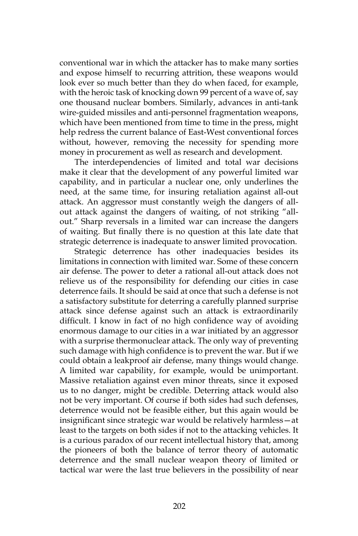conventional war in which the attacker has to make many sorties and expose himself to recurring attrition, these weapons would look ever so much better than they do when faced, for example, with the heroic task of knocking down 99 percent of a wave of, say one thousand nuclear bombers. Similarly, advances in anti-tank wire-guided missiles and anti-personnel fragmentation weapons, which have been mentioned from time to time in the press, might help redress the current balance of East-West conventional forces without, however, removing the necessity for spending more money in procurement as well as research and development.

The interdependencies of limited and total war decisions make it clear that the development of any powerful limited war capability, and in particular a nuclear one, only underlines the need, at the same time, for insuring retaliation against all-out attack. An aggressor must constantly weigh the dangers of allout attack against the dangers of waiting, of not striking "allout." Sharp reversals in a limited war can increase the dangers of waiting. But finally there is no question at this late date that strategic deterrence is inadequate to answer limited provocation.

Strategic deterrence has other inadequacies besides its limitations in connection with limited war. Some of these concern air defense. The power to deter a rational all-out attack does not relieve us of the responsibility for defending our cities in case deterrence fails. It should be said at once that such a defense is not a satisfactory substitute for deterring a carefully planned surprise attack since defense against such an attack is extraordinarily difficult. I know in fact of no high confidence way of avoiding enormous damage to our cities in a war initiated by an aggressor with a surprise thermonuclear attack. The only way of preventing such damage with high confidence is to prevent the war. But if we could obtain a leakproof air defense, many things would change. A limited war capability, for example, would be unimportant. Massive retaliation against even minor threats, since it exposed us to no danger, might be credible. Deterring attack would also not be very important. Of course if both sides had such defenses, deterrence would not be feasible either, but this again would be insignificant since strategic war would be relatively harmless—at least to the targets on both sides if not to the attacking vehicles. It is a curious paradox of our recent intellectual history that, among the pioneers of both the balance of terror theory of automatic deterrence and the small nuclear weapon theory of limited or tactical war were the last true believers in the possibility of near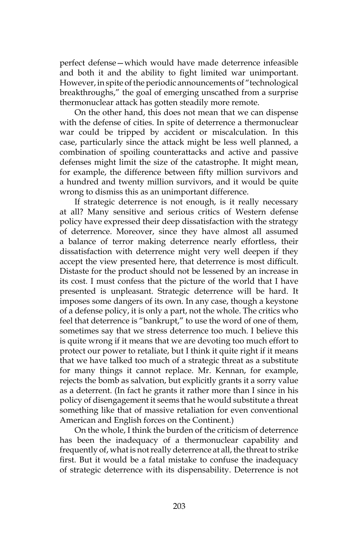perfect defense—which would have made deterrence infeasible and both it and the ability to fight limited war unimportant. However, in spite of the periodic announcements of "technological breakthroughs," the goal of emerging unscathed from a surprise thermonuclear attack has gotten steadily more remote.

On the other hand, this does not mean that we can dispense with the defense of cities. In spite of deterrence a thermonuclear war could be tripped by accident or miscalculation. In this case, particularly since the attack might be less well planned, a combination of spoiling counterattacks and active and passive defenses might limit the size of the catastrophe. It might mean, for example, the difference between fifty million survivors and a hundred and twenty million survivors, and it would be quite wrong to dismiss this as an unimportant difference.

If strategic deterrence is not enough, is it really necessary at all? Many sensitive and serious critics of Western defense policy have expressed their deep dissatisfaction with the strategy of deterrence. Moreover, since they have almost all assumed a balance of terror making deterrence nearly effortless, their dissatisfaction with deterrence might very well deepen if they accept the view presented here, that deterrence is most difficult. Distaste for the product should not be lessened by an increase in its cost. I must confess that the picture of the world that I have presented is unpleasant. Strategic deterrence will be hard. It imposes some dangers of its own. In any case, though a keystone of a defense policy, it is only a part, not the whole. The critics who feel that deterrence is "bankrupt," to use the word of one of them, sometimes say that we stress deterrence too much. I believe this is quite wrong if it means that we are devoting too much effort to protect our power to retaliate, but I think it quite right if it means that we have talked too much of a strategic threat as a substitute for many things it cannot replace. Mr. Kennan, for example, rejects the bomb as salvation, but explicitly grants it a sorry value as a deterrent. (In fact he grants it rather more than I since in his policy of disengagement it seems that he would substitute a threat something like that of massive retaliation for even conventional American and English forces on the Continent.)

On the whole, I think the burden of the criticism of deterrence has been the inadequacy of a thermonuclear capability and frequently of, what is not really deterrence at all, the threat to strike first. But it would be a fatal mistake to confuse the inadequacy of strategic deterrence with its dispensability. Deterrence is not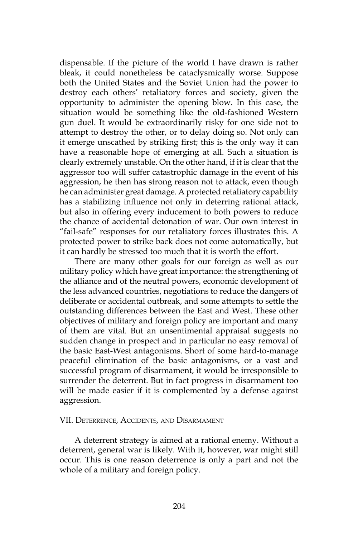dispensable. If the picture of the world I have drawn is rather bleak, it could nonetheless be cataclysmically worse. Suppose both the United States and the Soviet Union had the power to destroy each others' retaliatory forces and society, given the opportunity to administer the opening blow. In this case, the situation would be something like the old-fashioned Western gun duel. It would be extraordinarily risky for one side not to attempt to destroy the other, or to delay doing so. Not only can it emerge unscathed by striking first; this is the only way it can have a reasonable hope of emerging at all. Such a situation is clearly extremely unstable. On the other hand, if it is clear that the aggressor too will suffer catastrophic damage in the event of his aggression, he then has strong reason not to attack, even though he can administer great damage. A protected retaliatory capability has a stabilizing influence not only in deterring rational attack, but also in offering every inducement to both powers to reduce the chance of accidental detonation of war. Our own interest in "fail-safe" responses for our retaliatory forces illustrates this. A protected power to strike back does not come automatically, but it can hardly be stressed too much that it is worth the effort.

There are many other goals for our foreign as well as our military policy which have great importance: the strengthening of the alliance and of the neutral powers, economic development of the less advanced countries, negotiations to reduce the dangers of deliberate or accidental outbreak, and some attempts to settle the outstanding differences between the East and West. These other objectives of military and foreign policy are important and many of them are vital. But an unsentimental appraisal suggests no sudden change in prospect and in particular no easy removal of the basic East-West antagonisms. Short of some hard-to-manage peaceful elimination of the basic antagonisms, or a vast and successful program of disarmament, it would be irresponsible to surrender the deterrent. But in fact progress in disarmament too will be made easier if it is complemented by a defense against aggression.

#### VII. Deterrence, Accidents, and Disarmament

A deterrent strategy is aimed at a rational enemy. Without a deterrent, general war is likely. With it, however, war might still occur. This is one reason deterrence is only a part and not the whole of a military and foreign policy.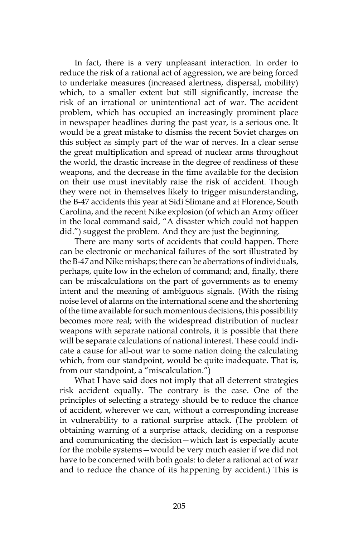In fact, there is a very unpleasant interaction. In order to reduce the risk of a rational act of aggression, we are being forced to undertake measures (increased alertness, dispersal, mobility) which, to a smaller extent but still significantly, increase the risk of an irrational or unintentional act of war. The accident problem, which has occupied an increasingly prominent place in newspaper headlines during the past year, is a serious one. It would be a great mistake to dismiss the recent Soviet charges on this subject as simply part of the war of nerves. In a clear sense the great multiplication and spread of nuclear arms throughout the world, the drastic increase in the degree of readiness of these weapons, and the decrease in the time available for the decision on their use must inevitably raise the risk of accident. Though they were not in themselves likely to trigger misunderstanding, the B-47 accidents this year at Sidi Slimane and at Florence, South Carolina, and the recent Nike explosion (of which an Army officer in the local command said, "A disaster which could not happen did.") suggest the problem. And they are just the beginning.

There are many sorts of accidents that could happen. There can be electronic or mechanical failures of the sort illustrated by the B-47 and Nike mishaps; there can be aberrations of individuals, perhaps, quite low in the echelon of command; and, finally, there can be miscalculations on the part of governments as to enemy intent and the meaning of ambiguous signals. (With the rising noise level of alarms on the international scene and the shortening of the time available for such momentous decisions, this possibility becomes more real; with the widespread distribution of nuclear weapons with separate national controls, it is possible that there will be separate calculations of national interest. These could indicate a cause for all-out war to some nation doing the calculating which, from our standpoint, would be quite inadequate. That is, from our standpoint, a "miscalculation.")

What I have said does not imply that all deterrent strategies risk accident equally. The contrary is the case. One of the principles of selecting a strategy should be to reduce the chance of accident, wherever we can, without a corresponding increase in vulnerability to a rational surprise attack. (The problem of obtaining warning of a surprise attack, deciding on a response and communicating the decision—which last is especially acute for the mobile systems—would be very much easier if we did not have to be concerned with both goals: to deter a rational act of war and to reduce the chance of its happening by accident.) This is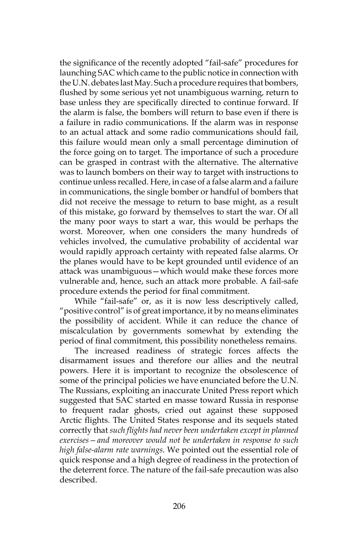the significance of the recently adopted "fail-safe" procedures for launching SAC which came to the public notice in connection with the U.N. debates last May. Such a procedure requires that bombers, flushed by some serious yet not unambiguous warning, return to base unless they are specifically directed to continue forward. If the alarm is false, the bombers will return to base even if there is a failure in radio communications. If the alarm was in response to an actual attack and some radio communications should fail, this failure would mean only a small percentage diminution of the force going on to target. The importance of such a procedure can be grasped in contrast with the alternative. The alternative was to launch bombers on their way to target with instructions to continue unless recalled. Here, in case of a false alarm and a failure in communications, the single bomber or handful of bombers that did not receive the message to return to base might, as a result of this mistake, go forward by themselves to start the war. Of all the many poor ways to start a war, this would be perhaps the worst. Moreover, when one considers the many hundreds of vehicles involved, the cumulative probability of accidental war would rapidly approach certainty with repeated false alarms. Or the planes would have to be kept grounded until evidence of an attack was unambiguous—which would make these forces more vulnerable and, hence, such an attack more probable. A fail-safe procedure extends the period for final commitment.

While "fail-safe" or, as it is now less descriptively called, "positive control" is of great importance, it by no means eliminates the possibility of accident. While it can reduce the chance of miscalculation by governments somewhat by extending the period of final commitment, this possibility nonetheless remains.

The increased readiness of strategic forces affects the disarmament issues and therefore our allies and the neutral powers. Here it is important to recognize the obsolescence of some of the principal policies we have enunciated before the U.N. The Russians, exploiting an inaccurate United Press report which suggested that SAC started en masse toward Russia in response to frequent radar ghosts, cried out against these supposed Arctic flights. The United States response and its sequels stated correctly that *such flights had never been undertaken except in planned exercises—and moreover would not be undertaken in response to such high false-alarm rate warnings*. We pointed out the essential role of quick response and a high degree of readiness in the protection of the deterrent force. The nature of the fail-safe precaution was also described.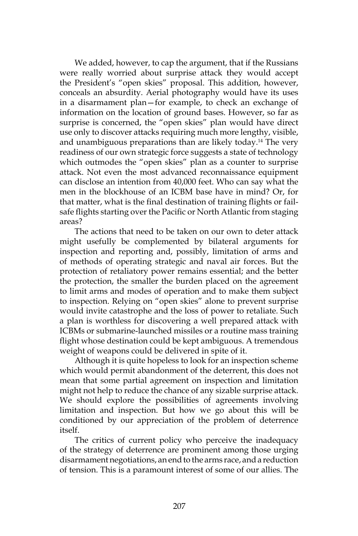We added, however, to cap the argument, that if the Russians were really worried about surprise attack they would accept the President's "open skies" proposal. This addition, however, conceals an absurdity. Aerial photography would have its uses in a disarmament plan—for example, to check an exchange of information on the location of ground bases. However, so far as surprise is concerned, the "open skies" plan would have direct use only to discover attacks requiring much more lengthy, visible, and unambiguous preparations than are likely today.14 The very readiness of our own strategic force suggests a state of technology which outmodes the "open skies" plan as a counter to surprise attack. Not even the most advanced reconnaissance equipment can disclose an intention from 40,000 feet. Who can say what the men in the blockhouse of an ICBM base have in mind? Or, for that matter, what is the final destination of training flights or failsafe flights starting over the Pacific or North Atlantic from staging areas?

The actions that need to be taken on our own to deter attack might usefully be complemented by bilateral arguments for inspection and reporting and, possibly, limitation of arms and of methods of operating strategic and naval air forces. But the protection of retaliatory power remains essential; and the better the protection, the smaller the burden placed on the agreement to limit arms and modes of operation and to make them subject to inspection. Relying on "open skies" alone to prevent surprise would invite catastrophe and the loss of power to retaliate. Such a plan is worthless for discovering a well prepared attack with ICBMs or submarine-launched missiles or a routine mass training flight whose destination could be kept ambiguous. A tremendous weight of weapons could be delivered in spite of it.

Although it is quite hopeless to look for an inspection scheme which would permit abandonment of the deterrent, this does not mean that some partial agreement on inspection and limitation might not help to reduce the chance of any sizable surprise attack. We should explore the possibilities of agreements involving limitation and inspection. But how we go about this will be conditioned by our appreciation of the problem of deterrence itself.

The critics of current policy who perceive the inadequacy of the strategy of deterrence are prominent among those urging disarmament negotiations, an end to the arms race, and a reduction of tension. This is a paramount interest of some of our allies. The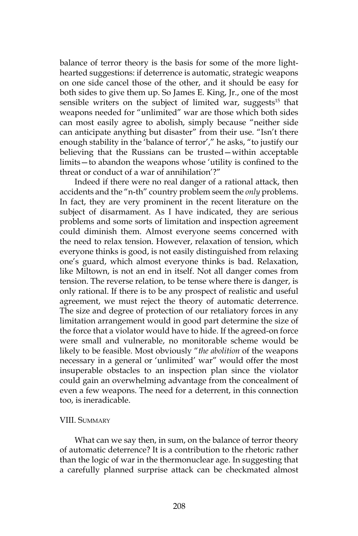balance of terror theory is the basis for some of the more lighthearted suggestions: if deterrence is automatic, strategic weapons on one side cancel those of the other, and it should be easy for both sides to give them up. So James E. King, Jr., one of the most sensible writers on the subject of limited war, suggests<sup>15</sup> that weapons needed for "unlimited" war are those which both sides can most easily agree to abolish, simply because "neither side can anticipate anything but disaster" from their use. "Isn't there enough stability in the 'balance of terror'," he asks, "to justify our believing that the Russians can be trusted—within acceptable limits—to abandon the weapons whose 'utility is confined to the threat or conduct of a war of annihilation'?"

Indeed if there were no real danger of a rational attack, then accidents and the "n-th" country problem seem the *only* problems. In fact, they are very prominent in the recent literature on the subject of disarmament. As I have indicated, they are serious problems and some sorts of limitation and inspection agreement could diminish them. Almost everyone seems concerned with the need to relax tension. However, relaxation of tension, which everyone thinks is good, is not easily distinguished from relaxing one's guard, which almost everyone thinks is bad. Relaxation, like Miltown, is not an end in itself. Not all danger comes from tension. The reverse relation, to be tense where there is danger, is only rational. If there is to be any prospect of realistic and useful agreement, we must reject the theory of automatic deterrence. The size and degree of protection of our retaliatory forces in any limitation arrangement would in good part determine the size of the force that a violator would have to hide. If the agreed-on force were small and vulnerable, no monitorable scheme would be likely to be feasible. Most obviously "*the abolition* of the weapons necessary in a general or 'unlimited' war" would offer the most insuperable obstacles to an inspection plan since the violator could gain an overwhelming advantage from the concealment of even a few weapons. The need for a deterrent, in this connection too, is ineradicable.

# VIII. SUMMARY

What can we say then, in sum, on the balance of terror theory of automatic deterrence? It is a contribution to the rhetoric rather than the logic of war in the thermonuclear age. In suggesting that a carefully planned surprise attack can be checkmated almost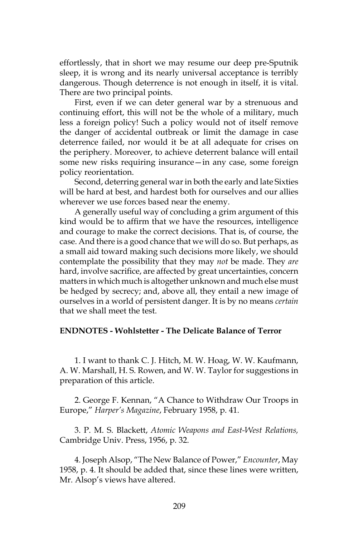effortlessly, that in short we may resume our deep pre-Sputnik sleep, it is wrong and its nearly universal acceptance is terribly dangerous. Though deterrence is not enough in itself, it is vital. There are two principal points.

First, even if we can deter general war by a strenuous and continuing effort, this will not be the whole of a military, much less a foreign policy! Such a policy would not of itself remove the danger of accidental outbreak or limit the damage in case deterrence failed, nor would it be at all adequate for crises on the periphery. Moreover, to achieve deterrent balance will entail some new risks requiring insurance—in any case, some foreign policy reorientation.

Second, deterring general war in both the early and late Sixties will be hard at best, and hardest both for ourselves and our allies wherever we use forces based near the enemy.

A generally useful way of concluding a grim argument of this kind would be to affirm that we have the resources, intelligence and courage to make the correct decisions. That is, of course, the case. And there is a good chance that we will do so. But perhaps, as a small aid toward making such decisions more likely, we should contemplate the possibility that they may *not* be made. They *are* hard, involve sacrifice, are affected by great uncertainties, concern matters in which much is altogether unknown and much else must be hedged by secrecy; and, above all, they entail a new image of ourselves in a world of persistent danger. It is by no means *certain* that we shall meet the test.

# **ENDNOTES - Wohlstetter - The Delicate Balance of Terror**

1. I want to thank C. J. Hitch, M. W. Hoag, W. W. Kaufmann, A. W. Marshall, H. S. Rowen, and W. W. Taylor for suggestions in preparation of this article.

2. George F. Kennan, "A Chance to Withdraw Our Troops in Europe," *Harper's Magazine*, February 1958, p. 41.

3. P. M. S. Blackett, *Atomic Weapons and East-West Relations,* Cambridge Univ. Press, 1956, p. 32.

4. Joseph Alsop, "The New Balance of Power," *Encounter*, May 1958, p. 4. It should be added that, since these lines were written, Mr. Alsop's views have altered.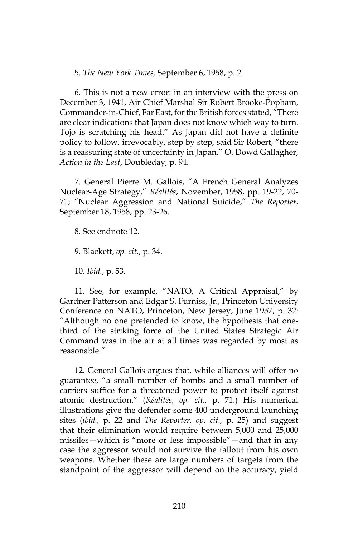5. *The New York Times,* September 6, 1958, p. 2.

6. This is not a new error: in an interview with the press on December 3, 1941, Air Chief Marshal Sir Robert Brooke-Popham, Commander-in-Chief, Far East, for the British forces stated, "There are clear indications that Japan does not know which way to turn. Tojo is scratching his head." As Japan did not have a definite policy to follow, irrevocably, step by step, said Sir Robert, "there is a reassuring state of uncertainty in Japan." O. Dowd Gallagher, *Action in the East*, Doubleday, p. 94.

7. General Pierre M. Gallois, "A French General Analyzes Nuclear-Age Strategy," *Réalités*, November, 1958, pp. 19-22, 70- 71; "Nuclear Aggression and National Suicide," *The Reporter*, September 18, 1958, pp. 23-26.

8. See endnote 12.

9. Blackett, *op. cit.*, p. 34.

10. *Ibid.*, p. 53.

11. See, for example, "NATO, A Critical Appraisal," by Gardner Patterson and Edgar S. Furniss, Jr., Princeton University Conference on NATO, Princeton, New Jersey, June 1957, p. 32: "Although no one pretended to know, the hypothesis that onethird of the striking force of the United States Strategic Air Command was in the air at all times was regarded by most as reasonable."

12. General Gallois argues that, while alliances will offer no guarantee, "a small number of bombs and a small number of carriers suffice for a threatened power to protect itself against atomic destruction." (*Réalités, op. cit.,* p. 71.) His numerical illustrations give the defender some 400 underground launching sites (*ibid.,* p. 22 and *The Reporter, op. cit.,* p. 25) and suggest that their elimination would require between 5,000 and 25,000 missiles—which is "more or less impossible"—and that in any case the aggressor would not survive the fallout from his own weapons. Whether these are large numbers of targets from the standpoint of the aggressor will depend on the accuracy, yield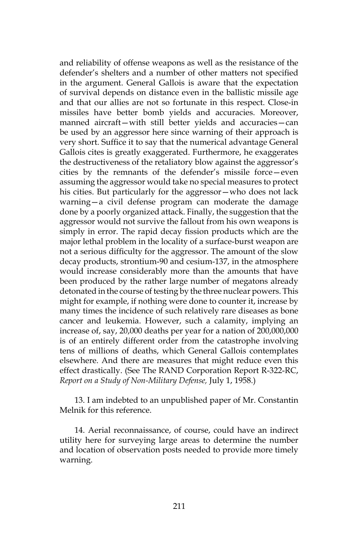and reliability of offense weapons as well as the resistance of the defender's shelters and a number of other matters not specified in the argument. General Gallois is aware that the expectation of survival depends on distance even in the ballistic missile age and that our allies are not so fortunate in this respect. Close-in missiles have better bomb yields and accuracies. Moreover, manned aircraft—with still better yields and accuracies—can be used by an aggressor here since warning of their approach is very short. Suffice it to say that the numerical advantage General Gallois cites is greatly exaggerated. Furthermore, he exaggerates the destructiveness of the retaliatory blow against the aggressor's cities by the remnants of the defender's missile force—even assuming the aggressor would take no special measures to protect his cities. But particularly for the aggressor—who does not lack warning—a civil defense program can moderate the damage done by a poorly organized attack. Finally, the suggestion that the aggressor would not survive the fallout from his own weapons is simply in error. The rapid decay fission products which are the major lethal problem in the locality of a surface-burst weapon are not a serious difficulty for the aggressor. The amount of the slow decay products, strontium-90 and cesium-137, in the atmosphere would increase considerably more than the amounts that have been produced by the rather large number of megatons already detonated in the course of testing by the three nuclear powers. This might for example, if nothing were done to counter it, increase by many times the incidence of such relatively rare diseases as bone cancer and leukemia. However, such a calamity, implying an increase of, say, 20,000 deaths per year for a nation of 200,000,000 is of an entirely different order from the catastrophe involving tens of millions of deaths, which General Gallois contemplates elsewhere. And there are measures that might reduce even this effect drastically. (See The RAND Corporation Report R-322-RC, *Report on a Study of Non-Military Defense,* July 1, 1958.)

13. I am indebted to an unpublished paper of Mr. Constantin Melnik for this reference.

14. Aerial reconnaissance, of course, could have an indirect utility here for surveying large areas to determine the number and location of observation posts needed to provide more timely warning.